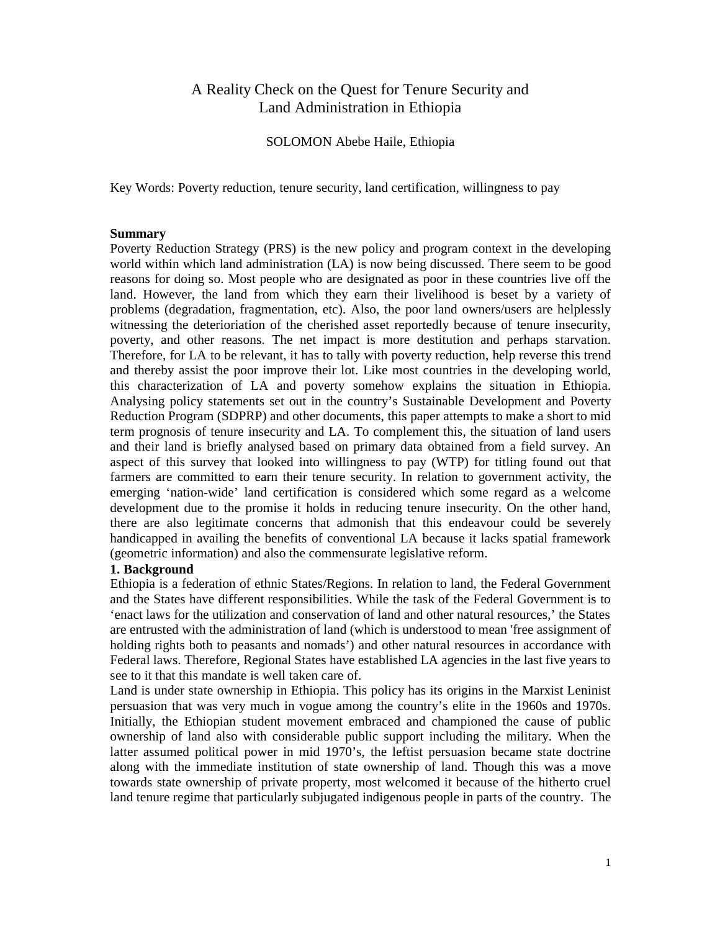## A Reality Check on the Quest for Tenure Security and Land Administration in Ethiopia

## SOLOMON Abebe Haile, Ethiopia

Key Words: Poverty reduction, tenure security, land certification, willingness to pay

### **Summary**

Poverty Reduction Strategy (PRS) is the new policy and program context in the developing world within which land administration (LA) is now being discussed. There seem to be good reasons for doing so. Most people who are designated as poor in these countries live off the land. However, the land from which they earn their livelihood is beset by a variety of problems (degradation, fragmentation, etc). Also, the poor land owners/users are helplessly witnessing the deterioriation of the cherished asset reportedly because of tenure insecurity, poverty, and other reasons. The net impact is more destitution and perhaps starvation. Therefore, for LA to be relevant, it has to tally with poverty reduction, help reverse this trend and thereby assist the poor improve their lot. Like most countries in the developing world, this characterization of LA and poverty somehow explains the situation in Ethiopia. Analysing policy statements set out in the country's Sustainable Development and Poverty Reduction Program (SDPRP) and other documents, this paper attempts to make a short to mid term prognosis of tenure insecurity and LA. To complement this, the situation of land users and their land is briefly analysed based on primary data obtained from a field survey. An aspect of this survey that looked into willingness to pay (WTP) for titling found out that farmers are committed to earn their tenure security. In relation to government activity, the emerging 'nation-wide' land certification is considered which some regard as a welcome development due to the promise it holds in reducing tenure insecurity. On the other hand, there are also legitimate concerns that admonish that this endeavour could be severely handicapped in availing the benefits of conventional LA because it lacks spatial framework (geometric information) and also the commensurate legislative reform.

## **1. Background**

Ethiopia is a federation of ethnic States/Regions. In relation to land, the Federal Government and the States have different responsibilities. While the task of the Federal Government is to 'enact laws for the utilization and conservation of land and other natural resources,' the States are entrusted with the administration of land (which is understood to mean 'free assignment of holding rights both to peasants and nomads') and other natural resources in accordance with Federal laws. Therefore, Regional States have established LA agencies in the last five years to see to it that this mandate is well taken care of.

Land is under state ownership in Ethiopia. This policy has its origins in the Marxist Leninist persuasion that was very much in vogue among the country's elite in the 1960s and 1970s. Initially, the Ethiopian student movement embraced and championed the cause of public ownership of land also with considerable public support including the military. When the latter assumed political power in mid 1970's, the leftist persuasion became state doctrine along with the immediate institution of state ownership of land. Though this was a move towards state ownership of private property, most welcomed it because of the hitherto cruel land tenure regime that particularly subjugated indigenous people in parts of the country. The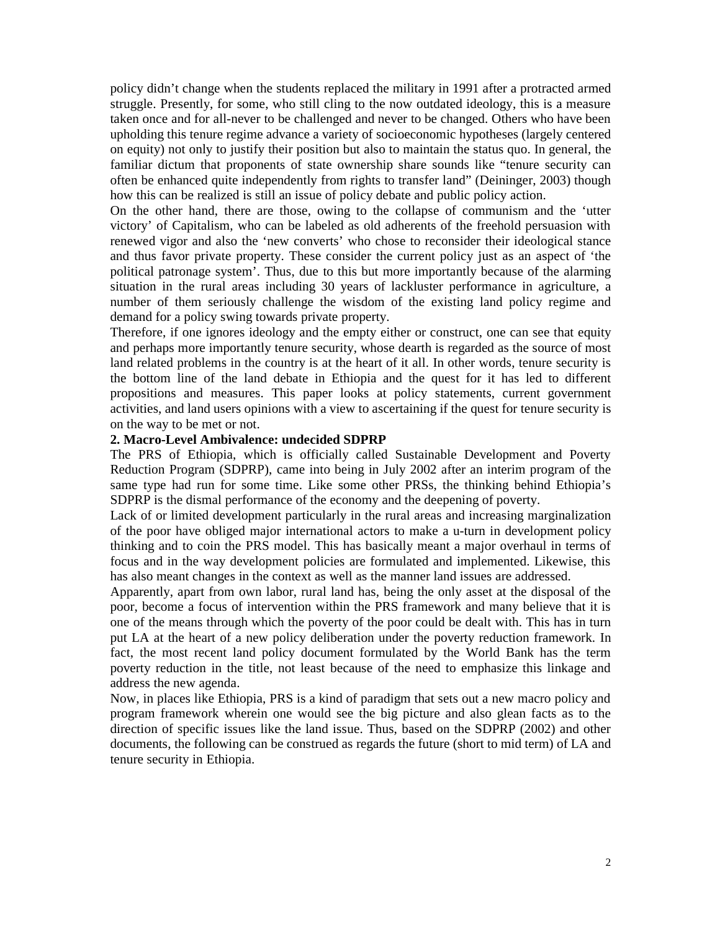policy didn't change when the students replaced the military in 1991 after a protracted armed struggle. Presently, for some, who still cling to the now outdated ideology, this is a measure taken once and for all-never to be challenged and never to be changed. Others who have been upholding this tenure regime advance a variety of socioeconomic hypotheses (largely centered on equity) not only to justify their position but also to maintain the status quo. In general, the familiar dictum that proponents of state ownership share sounds like "tenure security can often be enhanced quite independently from rights to transfer land" (Deininger, 2003) though how this can be realized is still an issue of policy debate and public policy action.

On the other hand, there are those, owing to the collapse of communism and the 'utter victory' of Capitalism, who can be labeled as old adherents of the freehold persuasion with renewed vigor and also the 'new converts' who chose to reconsider their ideological stance and thus favor private property. These consider the current policy just as an aspect of 'the political patronage system'. Thus, due to this but more importantly because of the alarming situation in the rural areas including 30 years of lackluster performance in agriculture, a number of them seriously challenge the wisdom of the existing land policy regime and demand for a policy swing towards private property.

Therefore, if one ignores ideology and the empty either or construct, one can see that equity and perhaps more importantly tenure security, whose dearth is regarded as the source of most land related problems in the country is at the heart of it all. In other words, tenure security is the bottom line of the land debate in Ethiopia and the quest for it has led to different propositions and measures. This paper looks at policy statements, current government activities, and land users opinions with a view to ascertaining if the quest for tenure security is on the way to be met or not.

## **2. Macro-Level Ambivalence: undecided SDPRP**

The PRS of Ethiopia, which is officially called Sustainable Development and Poverty Reduction Program (SDPRP), came into being in July 2002 after an interim program of the same type had run for some time. Like some other PRSs, the thinking behind Ethiopia's SDPRP is the dismal performance of the economy and the deepening of poverty.

Lack of or limited development particularly in the rural areas and increasing marginalization of the poor have obliged major international actors to make a u-turn in development policy thinking and to coin the PRS model. This has basically meant a major overhaul in terms of focus and in the way development policies are formulated and implemented. Likewise, this has also meant changes in the context as well as the manner land issues are addressed.

Apparently, apart from own labor, rural land has, being the only asset at the disposal of the poor, become a focus of intervention within the PRS framework and many believe that it is one of the means through which the poverty of the poor could be dealt with. This has in turn put LA at the heart of a new policy deliberation under the poverty reduction framework. In fact, the most recent land policy document formulated by the World Bank has the term poverty reduction in the title, not least because of the need to emphasize this linkage and address the new agenda.

Now, in places like Ethiopia, PRS is a kind of paradigm that sets out a new macro policy and program framework wherein one would see the big picture and also glean facts as to the direction of specific issues like the land issue. Thus, based on the SDPRP (2002) and other documents, the following can be construed as regards the future (short to mid term) of LA and tenure security in Ethiopia.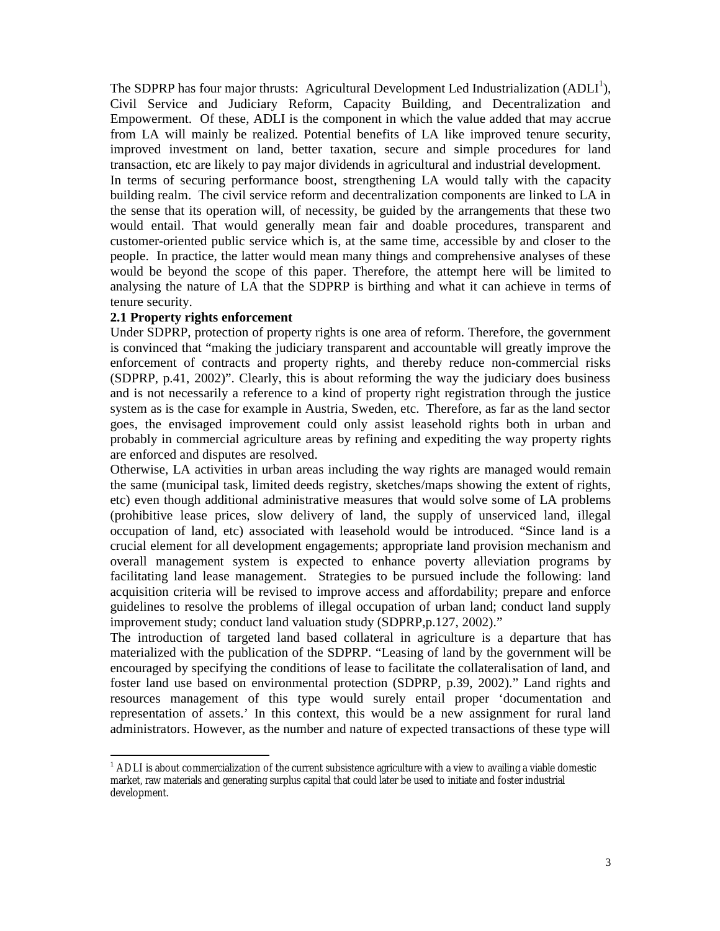The SDPRP has four major thrusts: Agricultural Development Led Industrialization (ADLI<sup>1</sup>), Civil Service and Judiciary Reform, Capacity Building, and Decentralization and Empowerment. Of these, ADLI is the component in which the value added that may accrue from LA will mainly be realized. Potential benefits of LA like improved tenure security, improved investment on land, better taxation, secure and simple procedures for land transaction, etc are likely to pay major dividends in agricultural and industrial development. In terms of securing performance boost, strengthening LA would tally with the capacity building realm. The civil service reform and decentralization components are linked to LA in the sense that its operation will, of necessity, be guided by the arrangements that these two would entail. That would generally mean fair and doable procedures, transparent and customer-oriented public service which is, at the same time, accessible by and closer to the people. In practice, the latter would mean many things and comprehensive analyses of these would be beyond the scope of this paper. Therefore, the attempt here will be limited to analysing the nature of LA that the SDPRP is birthing and what it can achieve in terms of tenure security.

### **2.1 Property rights enforcement**

-

Under SDPRP, protection of property rights is one area of reform. Therefore, the government is convinced that "making the judiciary transparent and accountable will greatly improve the enforcement of contracts and property rights, and thereby reduce non-commercial risks (SDPRP, p.41, 2002)". Clearly, this is about reforming the way the judiciary does business and is not necessarily a reference to a kind of property right registration through the justice system as is the case for example in Austria, Sweden, etc. Therefore, as far as the land sector goes, the envisaged improvement could only assist leasehold rights both in urban and probably in commercial agriculture areas by refining and expediting the way property rights are enforced and disputes are resolved.

Otherwise, LA activities in urban areas including the way rights are managed would remain the same (municipal task, limited deeds registry, sketches/maps showing the extent of rights, etc) even though additional administrative measures that would solve some of LA problems (prohibitive lease prices, slow delivery of land, the supply of unserviced land, illegal occupation of land, etc) associated with leasehold would be introduced. "Since land is a crucial element for all development engagements; appropriate land provision mechanism and overall management system is expected to enhance poverty alleviation programs by facilitating land lease management. Strategies to be pursued include the following: land acquisition criteria will be revised to improve access and affordability; prepare and enforce guidelines to resolve the problems of illegal occupation of urban land; conduct land supply improvement study; conduct land valuation study (SDPRP,p.127, 2002)."

The introduction of targeted land based collateral in agriculture is a departure that has materialized with the publication of the SDPRP. "Leasing of land by the government will be encouraged by specifying the conditions of lease to facilitate the collateralisation of land, and foster land use based on environmental protection (SDPRP, p.39, 2002)." Land rights and resources management of this type would surely entail proper 'documentation and representation of assets.' In this context, this would be a new assignment for rural land administrators. However, as the number and nature of expected transactions of these type will

 $<sup>1</sup>$  ADLI is about commercialization of the current subsistence agriculture with a view to availing a viable domestic</sup> market, raw materials and generating surplus capital that could later be used to initiate and foster industrial development.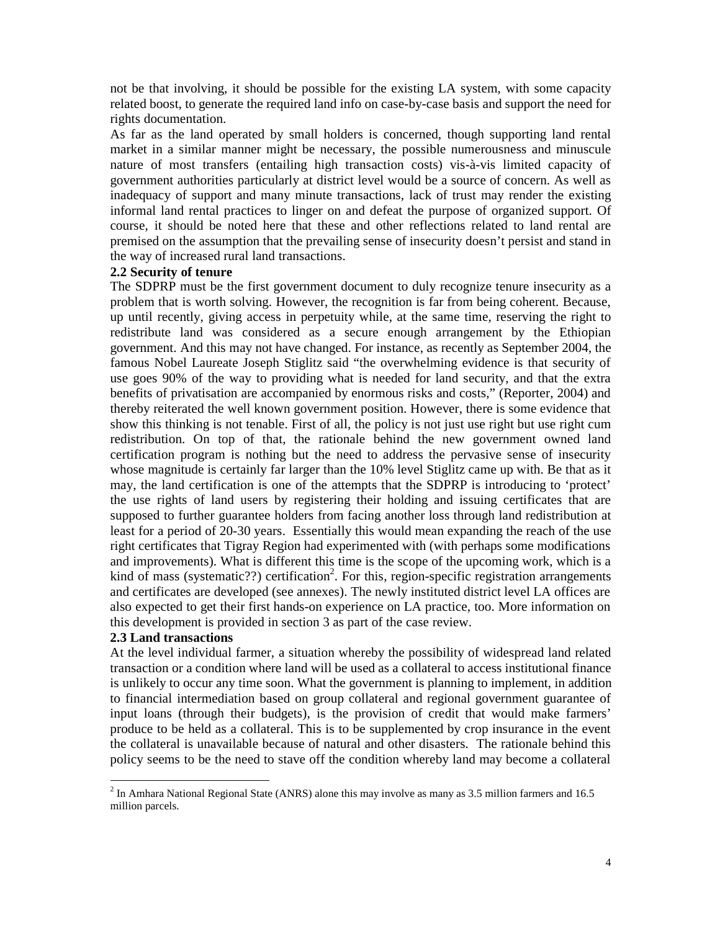not be that involving, it should be possible for the existing LA system, with some capacity related boost, to generate the required land info on case-by-case basis and support the need for rights documentation.

As far as the land operated by small holders is concerned, though supporting land rental market in a similar manner might be necessary, the possible numerousness and minuscule nature of most transfers (entailing high transaction costs) vis-à-vis limited capacity of government authorities particularly at district level would be a source of concern. As well as inadequacy of support and many minute transactions, lack of trust may render the existing informal land rental practices to linger on and defeat the purpose of organized support. Of course, it should be noted here that these and other reflections related to land rental are premised on the assumption that the prevailing sense of insecurity doesn't persist and stand in the way of increased rural land transactions.

## **2.2 Security of tenure**

The SDPRP must be the first government document to duly recognize tenure insecurity as a problem that is worth solving. However, the recognition is far from being coherent. Because, up until recently, giving access in perpetuity while, at the same time, reserving the right to redistribute land was considered as a secure enough arrangement by the Ethiopian government. And this may not have changed. For instance, as recently as September 2004, the famous Nobel Laureate Joseph Stiglitz said "the overwhelming evidence is that security of use goes 90% of the way to providing what is needed for land security, and that the extra benefits of privatisation are accompanied by enormous risks and costs," (Reporter, 2004) and thereby reiterated the well known government position. However, there is some evidence that show this thinking is not tenable. First of all, the policy is not just use right but use right cum redistribution. On top of that, the rationale behind the new government owned land certification program is nothing but the need to address the pervasive sense of insecurity whose magnitude is certainly far larger than the 10% level Stiglitz came up with. Be that as it may, the land certification is one of the attempts that the SDPRP is introducing to 'protect' the use rights of land users by registering their holding and issuing certificates that are supposed to further guarantee holders from facing another loss through land redistribution at least for a period of 20-30 years. Essentially this would mean expanding the reach of the use right certificates that Tigray Region had experimented with (with perhaps some modifications and improvements). What is different this time is the scope of the upcoming work, which is a kind of mass (systematic??) certification<sup>2</sup>. For this, region-specific registration arrangements and certificates are developed (see annexes). The newly instituted district level LA offices are also expected to get their first hands-on experience on LA practice, too. More information on this development is provided in section 3 as part of the case review.

## **2.3 Land transactions**

-

At the level individual farmer, a situation whereby the possibility of widespread land related transaction or a condition where land will be used as a collateral to access institutional finance is unlikely to occur any time soon. What the government is planning to implement, in addition to financial intermediation based on group collateral and regional government guarantee of input loans (through their budgets), is the provision of credit that would make farmers' produce to be held as a collateral. This is to be supplemented by crop insurance in the event the collateral is unavailable because of natural and other disasters. The rationale behind this policy seems to be the need to stave off the condition whereby land may become a collateral

 $2^{2}$  In Amhara National Regional State (ANRS) alone this may involve as many as 3.5 million farmers and 16.5 million parcels.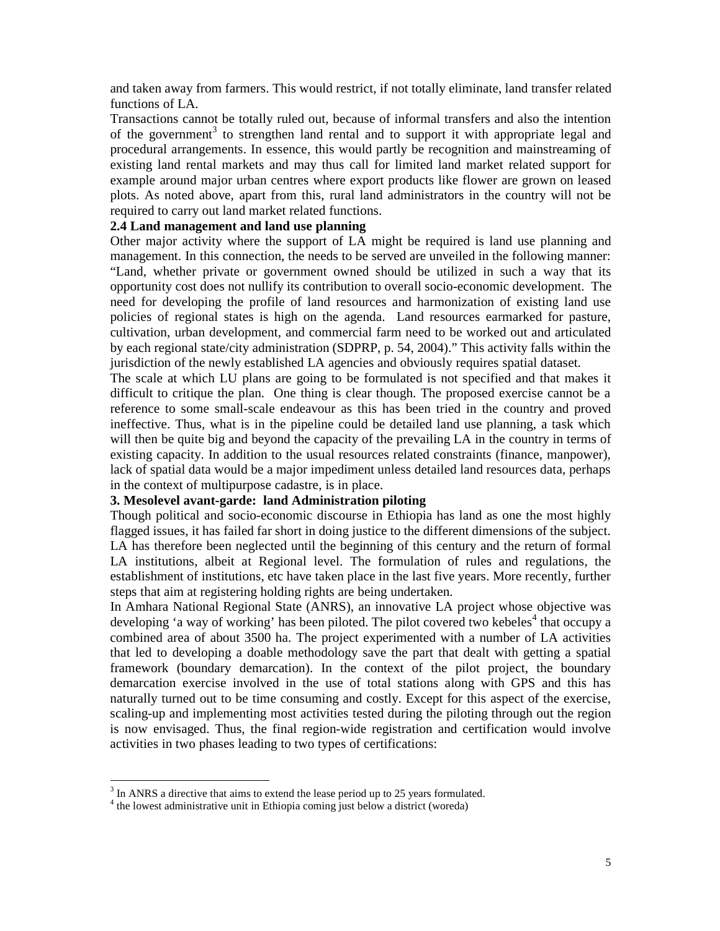and taken away from farmers. This would restrict, if not totally eliminate, land transfer related functions of LA.

Transactions cannot be totally ruled out, because of informal transfers and also the intention of the government<sup>3</sup> to strengthen land rental and to support it with appropriate legal and procedural arrangements. In essence, this would partly be recognition and mainstreaming of existing land rental markets and may thus call for limited land market related support for example around major urban centres where export products like flower are grown on leased plots. As noted above, apart from this, rural land administrators in the country will not be required to carry out land market related functions.

## **2.4 Land management and land use planning**

Other major activity where the support of LA might be required is land use planning and management. In this connection, the needs to be served are unveiled in the following manner: "Land, whether private or government owned should be utilized in such a way that its opportunity cost does not nullify its contribution to overall socio-economic development. The need for developing the profile of land resources and harmonization of existing land use policies of regional states is high on the agenda. Land resources earmarked for pasture, cultivation, urban development, and commercial farm need to be worked out and articulated by each regional state/city administration (SDPRP, p. 54, 2004)." This activity falls within the jurisdiction of the newly established LA agencies and obviously requires spatial dataset.

The scale at which LU plans are going to be formulated is not specified and that makes it difficult to critique the plan. One thing is clear though. The proposed exercise cannot be a reference to some small-scale endeavour as this has been tried in the country and proved ineffective. Thus, what is in the pipeline could be detailed land use planning, a task which will then be quite big and beyond the capacity of the prevailing LA in the country in terms of existing capacity. In addition to the usual resources related constraints (finance, manpower), lack of spatial data would be a major impediment unless detailed land resources data, perhaps in the context of multipurpose cadastre, is in place.

### **3. Mesolevel avant-garde: land Administration piloting**

Though political and socio-economic discourse in Ethiopia has land as one the most highly flagged issues, it has failed far short in doing justice to the different dimensions of the subject. LA has therefore been neglected until the beginning of this century and the return of formal LA institutions, albeit at Regional level. The formulation of rules and regulations, the establishment of institutions, etc have taken place in the last five years. More recently, further steps that aim at registering holding rights are being undertaken.

In Amhara National Regional State (ANRS), an innovative LA project whose objective was developing 'a way of working' has been piloted. The pilot covered two kebeles<sup>4</sup> that occupy a combined area of about 3500 ha. The project experimented with a number of LA activities that led to developing a doable methodology save the part that dealt with getting a spatial framework (boundary demarcation). In the context of the pilot project, the boundary demarcation exercise involved in the use of total stations along with GPS and this has naturally turned out to be time consuming and costly. Except for this aspect of the exercise, scaling-up and implementing most activities tested during the piloting through out the region is now envisaged. Thus, the final region-wide registration and certification would involve activities in two phases leading to two types of certifications:

-

 $3 \text{ In ANRS}$  a directive that aims to extend the lease period up to 25 years formulated.

<sup>&</sup>lt;sup>4</sup> the lowest administrative unit in Ethiopia coming just below a district (woreda)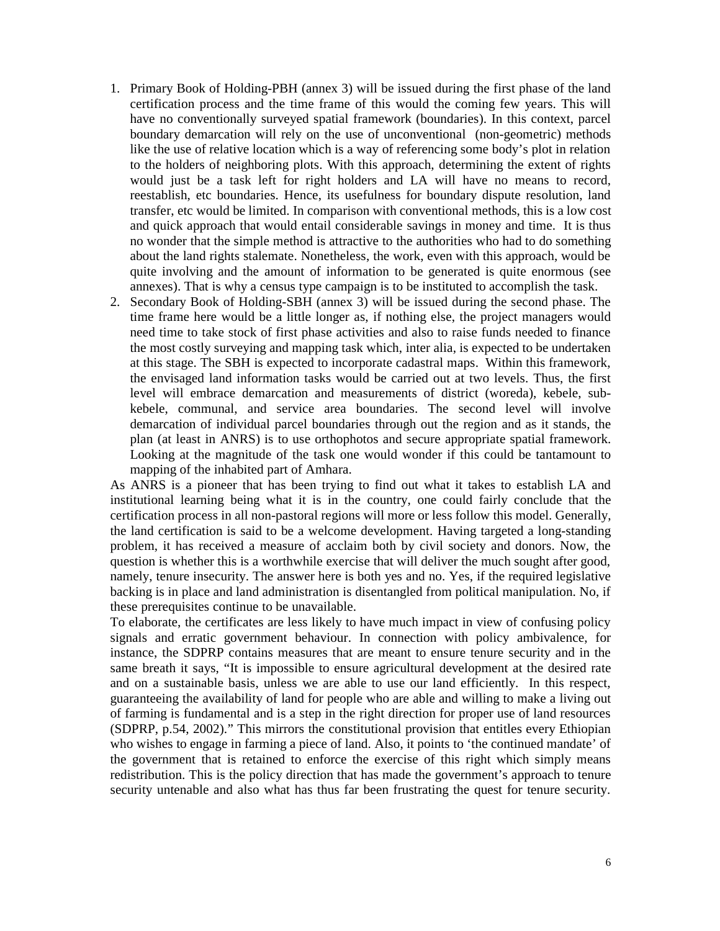- 1. Primary Book of Holding-PBH (annex 3) will be issued during the first phase of the land certification process and the time frame of this would the coming few years. This will have no conventionally surveyed spatial framework (boundaries). In this context, parcel boundary demarcation will rely on the use of unconventional (non-geometric) methods like the use of relative location which is a way of referencing some body's plot in relation to the holders of neighboring plots. With this approach, determining the extent of rights would just be a task left for right holders and LA will have no means to record, reestablish, etc boundaries. Hence, its usefulness for boundary dispute resolution, land transfer, etc would be limited. In comparison with conventional methods, this is a low cost and quick approach that would entail considerable savings in money and time. It is thus no wonder that the simple method is attractive to the authorities who had to do something about the land rights stalemate. Nonetheless, the work, even with this approach, would be quite involving and the amount of information to be generated is quite enormous (see annexes). That is why a census type campaign is to be instituted to accomplish the task.
- 2. Secondary Book of Holding-SBH (annex 3) will be issued during the second phase. The time frame here would be a little longer as, if nothing else, the project managers would need time to take stock of first phase activities and also to raise funds needed to finance the most costly surveying and mapping task which, inter alia, is expected to be undertaken at this stage. The SBH is expected to incorporate cadastral maps. Within this framework, the envisaged land information tasks would be carried out at two levels. Thus, the first level will embrace demarcation and measurements of district (woreda), kebele, subkebele, communal, and service area boundaries. The second level will involve demarcation of individual parcel boundaries through out the region and as it stands, the plan (at least in ANRS) is to use orthophotos and secure appropriate spatial framework. Looking at the magnitude of the task one would wonder if this could be tantamount to mapping of the inhabited part of Amhara.

As ANRS is a pioneer that has been trying to find out what it takes to establish LA and institutional learning being what it is in the country, one could fairly conclude that the certification process in all non-pastoral regions will more or less follow this model. Generally, the land certification is said to be a welcome development. Having targeted a long-standing problem, it has received a measure of acclaim both by civil society and donors. Now, the question is whether this is a worthwhile exercise that will deliver the much sought after good, namely, tenure insecurity. The answer here is both yes and no. Yes, if the required legislative backing is in place and land administration is disentangled from political manipulation. No, if these prerequisites continue to be unavailable.

To elaborate, the certificates are less likely to have much impact in view of confusing policy signals and erratic government behaviour. In connection with policy ambivalence, for instance, the SDPRP contains measures that are meant to ensure tenure security and in the same breath it says, "It is impossible to ensure agricultural development at the desired rate and on a sustainable basis, unless we are able to use our land efficiently. In this respect, guaranteeing the availability of land for people who are able and willing to make a living out of farming is fundamental and is a step in the right direction for proper use of land resources (SDPRP, p.54, 2002)." This mirrors the constitutional provision that entitles every Ethiopian who wishes to engage in farming a piece of land. Also, it points to 'the continued mandate' of the government that is retained to enforce the exercise of this right which simply means redistribution. This is the policy direction that has made the government's approach to tenure security untenable and also what has thus far been frustrating the quest for tenure security.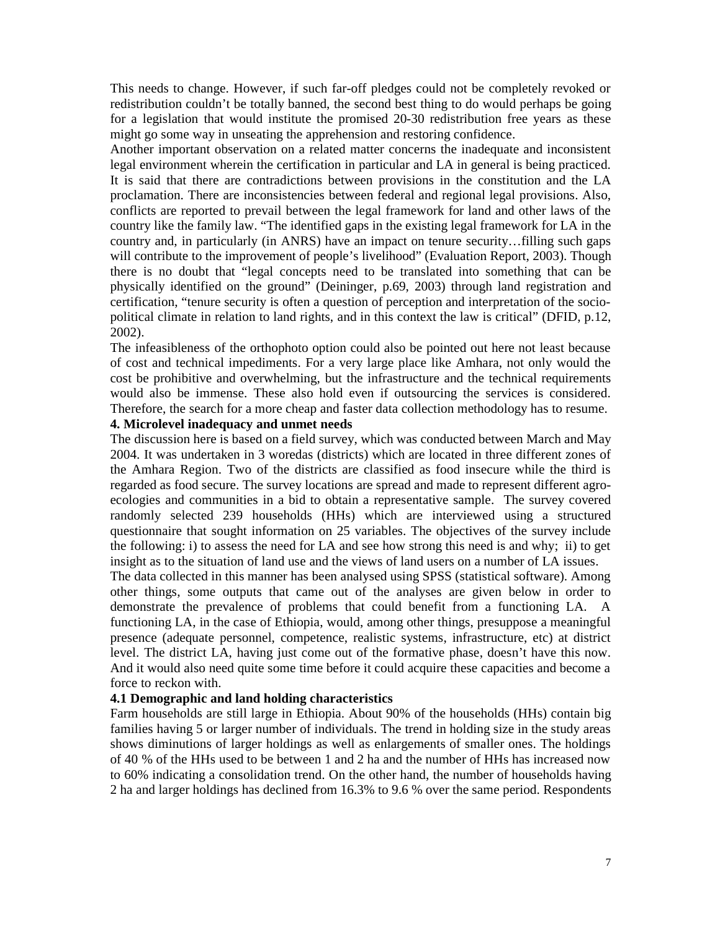This needs to change. However, if such far-off pledges could not be completely revoked or redistribution couldn't be totally banned, the second best thing to do would perhaps be going for a legislation that would institute the promised 20-30 redistribution free years as these might go some way in unseating the apprehension and restoring confidence.

Another important observation on a related matter concerns the inadequate and inconsistent legal environment wherein the certification in particular and LA in general is being practiced. It is said that there are contradictions between provisions in the constitution and the LA proclamation. There are inconsistencies between federal and regional legal provisions. Also, conflicts are reported to prevail between the legal framework for land and other laws of the country like the family law. "The identified gaps in the existing legal framework for LA in the country and, in particularly (in ANRS) have an impact on tenure security…filling such gaps will contribute to the improvement of people's livelihood" (Evaluation Report, 2003). Though there is no doubt that "legal concepts need to be translated into something that can be physically identified on the ground" (Deininger, p.69, 2003) through land registration and certification, "tenure security is often a question of perception and interpretation of the sociopolitical climate in relation to land rights, and in this context the law is critical" (DFID, p.12, 2002).

The infeasibleness of the orthophoto option could also be pointed out here not least because of cost and technical impediments. For a very large place like Amhara, not only would the cost be prohibitive and overwhelming, but the infrastructure and the technical requirements would also be immense. These also hold even if outsourcing the services is considered. Therefore, the search for a more cheap and faster data collection methodology has to resume.

## **4. Microlevel inadequacy and unmet needs**

The discussion here is based on a field survey, which was conducted between March and May 2004. It was undertaken in 3 woredas (districts) which are located in three different zones of the Amhara Region. Two of the districts are classified as food insecure while the third is regarded as food secure. The survey locations are spread and made to represent different agroecologies and communities in a bid to obtain a representative sample. The survey covered randomly selected 239 households (HHs) which are interviewed using a structured questionnaire that sought information on 25 variables. The objectives of the survey include the following: i) to assess the need for LA and see how strong this need is and why; ii) to get insight as to the situation of land use and the views of land users on a number of LA issues.

The data collected in this manner has been analysed using SPSS (statistical software). Among other things, some outputs that came out of the analyses are given below in order to demonstrate the prevalence of problems that could benefit from a functioning LA. A functioning LA, in the case of Ethiopia, would, among other things, presuppose a meaningful presence (adequate personnel, competence, realistic systems, infrastructure, etc) at district level. The district LA, having just come out of the formative phase, doesn't have this now. And it would also need quite some time before it could acquire these capacities and become a force to reckon with.

#### **4.1 Demographic and land holding characteristics**

Farm households are still large in Ethiopia. About 90% of the households (HHs) contain big families having 5 or larger number of individuals. The trend in holding size in the study areas shows diminutions of larger holdings as well as enlargements of smaller ones. The holdings of 40 % of the HHs used to be between 1 and 2 ha and the number of HHs has increased now to 60% indicating a consolidation trend. On the other hand, the number of households having 2 ha and larger holdings has declined from 16.3% to 9.6 % over the same period. Respondents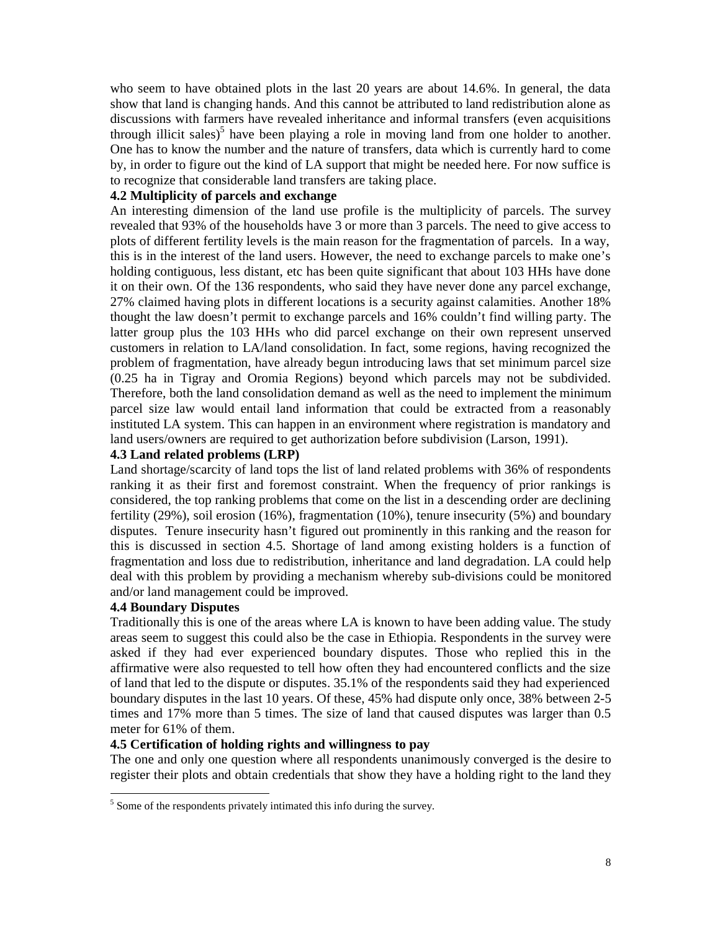who seem to have obtained plots in the last 20 years are about 14.6%. In general, the data show that land is changing hands. And this cannot be attributed to land redistribution alone as discussions with farmers have revealed inheritance and informal transfers (even acquisitions through illicit sales)<sup>5</sup> have been playing a role in moving land from one holder to another. One has to know the number and the nature of transfers, data which is currently hard to come by, in order to figure out the kind of LA support that might be needed here. For now suffice is to recognize that considerable land transfers are taking place.

## **4.2 Multiplicity of parcels and exchange**

An interesting dimension of the land use profile is the multiplicity of parcels. The survey revealed that 93% of the households have 3 or more than 3 parcels. The need to give access to plots of different fertility levels is the main reason for the fragmentation of parcels. In a way, this is in the interest of the land users. However, the need to exchange parcels to make one's holding contiguous, less distant, etc has been quite significant that about 103 HHs have done it on their own. Of the 136 respondents, who said they have never done any parcel exchange, 27% claimed having plots in different locations is a security against calamities. Another 18% thought the law doesn't permit to exchange parcels and 16% couldn't find willing party. The latter group plus the 103 HHs who did parcel exchange on their own represent unserved customers in relation to LA/land consolidation. In fact, some regions, having recognized the problem of fragmentation, have already begun introducing laws that set minimum parcel size (0.25 ha in Tigray and Oromia Regions) beyond which parcels may not be subdivided. Therefore, both the land consolidation demand as well as the need to implement the minimum parcel size law would entail land information that could be extracted from a reasonably instituted LA system. This can happen in an environment where registration is mandatory and land users/owners are required to get authorization before subdivision (Larson, 1991).

### **4.3 Land related problems (LRP)**

Land shortage/scarcity of land tops the list of land related problems with 36% of respondents ranking it as their first and foremost constraint. When the frequency of prior rankings is considered, the top ranking problems that come on the list in a descending order are declining fertility (29%), soil erosion (16%), fragmentation (10%), tenure insecurity (5%) and boundary disputes. Tenure insecurity hasn't figured out prominently in this ranking and the reason for this is discussed in section 4.5. Shortage of land among existing holders is a function of fragmentation and loss due to redistribution, inheritance and land degradation. LA could help deal with this problem by providing a mechanism whereby sub-divisions could be monitored and/or land management could be improved.

#### **4.4 Boundary Disputes**

-

Traditionally this is one of the areas where LA is known to have been adding value. The study areas seem to suggest this could also be the case in Ethiopia. Respondents in the survey were asked if they had ever experienced boundary disputes. Those who replied this in the affirmative were also requested to tell how often they had encountered conflicts and the size of land that led to the dispute or disputes. 35.1% of the respondents said they had experienced boundary disputes in the last 10 years. Of these, 45% had dispute only once, 38% between 2-5 times and 17% more than 5 times. The size of land that caused disputes was larger than 0.5 meter for 61% of them.

## **4.5 Certification of holding rights and willingness to pay**

The one and only one question where all respondents unanimously converged is the desire to register their plots and obtain credentials that show they have a holding right to the land they

 $<sup>5</sup>$  Some of the respondents privately intimated this info during the survey.</sup>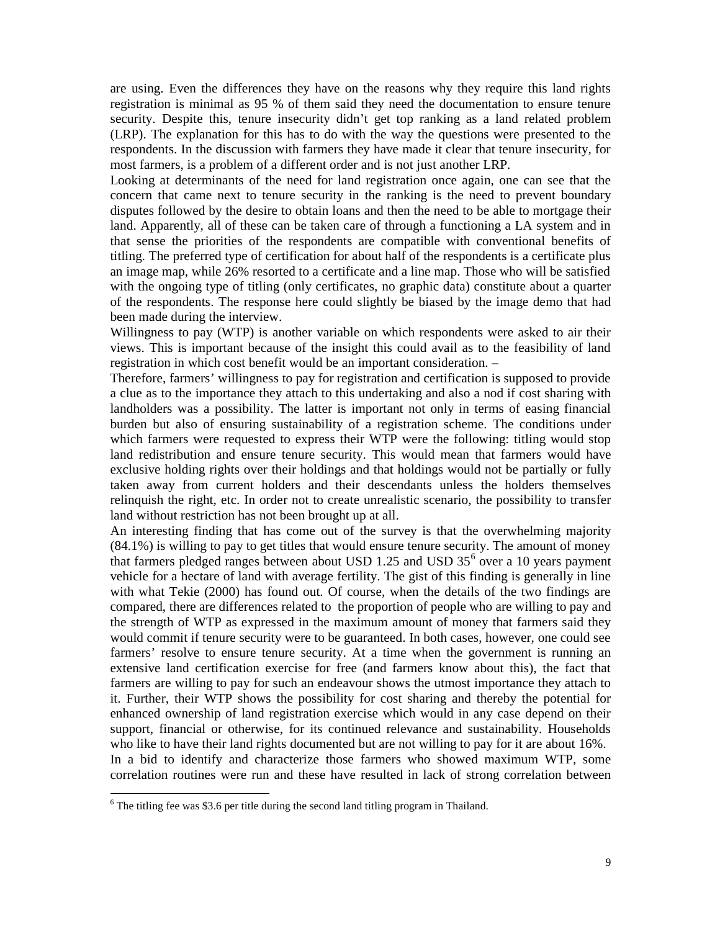are using. Even the differences they have on the reasons why they require this land rights registration is minimal as 95 % of them said they need the documentation to ensure tenure security. Despite this, tenure insecurity didn't get top ranking as a land related problem (LRP). The explanation for this has to do with the way the questions were presented to the respondents. In the discussion with farmers they have made it clear that tenure insecurity, for most farmers, is a problem of a different order and is not just another LRP.

Looking at determinants of the need for land registration once again, one can see that the concern that came next to tenure security in the ranking is the need to prevent boundary disputes followed by the desire to obtain loans and then the need to be able to mortgage their land. Apparently, all of these can be taken care of through a functioning a LA system and in that sense the priorities of the respondents are compatible with conventional benefits of titling. The preferred type of certification for about half of the respondents is a certificate plus an image map, while 26% resorted to a certificate and a line map. Those who will be satisfied with the ongoing type of titling (only certificates, no graphic data) constitute about a quarter of the respondents. The response here could slightly be biased by the image demo that had been made during the interview.

Willingness to pay (WTP) is another variable on which respondents were asked to air their views. This is important because of the insight this could avail as to the feasibility of land registration in which cost benefit would be an important consideration. –

Therefore, farmers' willingness to pay for registration and certification is supposed to provide a clue as to the importance they attach to this undertaking and also a nod if cost sharing with landholders was a possibility. The latter is important not only in terms of easing financial burden but also of ensuring sustainability of a registration scheme. The conditions under which farmers were requested to express their WTP were the following: titling would stop land redistribution and ensure tenure security. This would mean that farmers would have exclusive holding rights over their holdings and that holdings would not be partially or fully taken away from current holders and their descendants unless the holders themselves relinquish the right, etc. In order not to create unrealistic scenario, the possibility to transfer land without restriction has not been brought up at all.

An interesting finding that has come out of the survey is that the overwhelming majority (84.1%) is willing to pay to get titles that would ensure tenure security. The amount of money that farmers pledged ranges between about USD 1.25 and USD  $35^6$  over a 10 years payment vehicle for a hectare of land with average fertility. The gist of this finding is generally in line with what Tekie (2000) has found out. Of course, when the details of the two findings are compared, there are differences related to the proportion of people who are willing to pay and the strength of WTP as expressed in the maximum amount of money that farmers said they would commit if tenure security were to be guaranteed. In both cases, however, one could see farmers' resolve to ensure tenure security. At a time when the government is running an extensive land certification exercise for free (and farmers know about this), the fact that farmers are willing to pay for such an endeavour shows the utmost importance they attach to it. Further, their WTP shows the possibility for cost sharing and thereby the potential for enhanced ownership of land registration exercise which would in any case depend on their support, financial or otherwise, for its continued relevance and sustainability. Households who like to have their land rights documented but are not willing to pay for it are about 16%. In a bid to identify and characterize those farmers who showed maximum WTP, some correlation routines were run and these have resulted in lack of strong correlation between

-

 $6$  The titling fee was \$3.6 per title during the second land titling program in Thailand.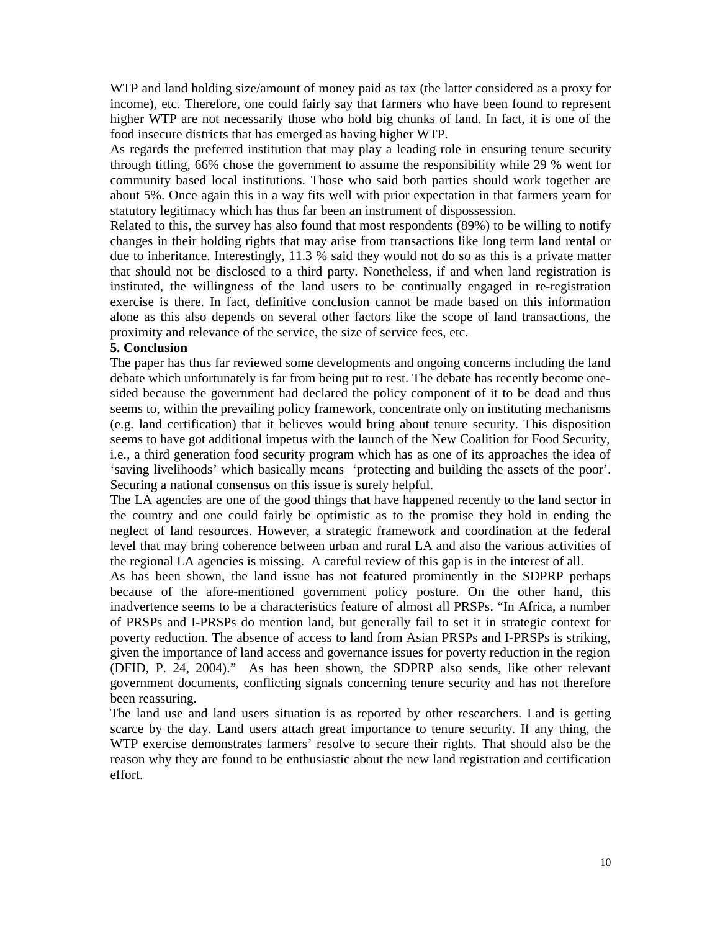WTP and land holding size/amount of money paid as tax (the latter considered as a proxy for income), etc. Therefore, one could fairly say that farmers who have been found to represent higher WTP are not necessarily those who hold big chunks of land. In fact, it is one of the food insecure districts that has emerged as having higher WTP.

As regards the preferred institution that may play a leading role in ensuring tenure security through titling, 66% chose the government to assume the responsibility while 29 % went for community based local institutions. Those who said both parties should work together are about 5%. Once again this in a way fits well with prior expectation in that farmers yearn for statutory legitimacy which has thus far been an instrument of dispossession.

Related to this, the survey has also found that most respondents (89%) to be willing to notify changes in their holding rights that may arise from transactions like long term land rental or due to inheritance. Interestingly, 11.3 % said they would not do so as this is a private matter that should not be disclosed to a third party. Nonetheless, if and when land registration is instituted, the willingness of the land users to be continually engaged in re-registration exercise is there. In fact, definitive conclusion cannot be made based on this information alone as this also depends on several other factors like the scope of land transactions, the proximity and relevance of the service, the size of service fees, etc.

#### **5. Conclusion**

The paper has thus far reviewed some developments and ongoing concerns including the land debate which unfortunately is far from being put to rest. The debate has recently become onesided because the government had declared the policy component of it to be dead and thus seems to, within the prevailing policy framework, concentrate only on instituting mechanisms (e.g. land certification) that it believes would bring about tenure security. This disposition seems to have got additional impetus with the launch of the New Coalition for Food Security, i.e., a third generation food security program which has as one of its approaches the idea of 'saving livelihoods' which basically means 'protecting and building the assets of the poor'. Securing a national consensus on this issue is surely helpful.

The LA agencies are one of the good things that have happened recently to the land sector in the country and one could fairly be optimistic as to the promise they hold in ending the neglect of land resources. However, a strategic framework and coordination at the federal level that may bring coherence between urban and rural LA and also the various activities of the regional LA agencies is missing. A careful review of this gap is in the interest of all.

As has been shown, the land issue has not featured prominently in the SDPRP perhaps because of the afore-mentioned government policy posture. On the other hand, this inadvertence seems to be a characteristics feature of almost all PRSPs. "In Africa, a number of PRSPs and I-PRSPs do mention land, but generally fail to set it in strategic context for poverty reduction. The absence of access to land from Asian PRSPs and I-PRSPs is striking, given the importance of land access and governance issues for poverty reduction in the region (DFID, P. 24, 2004)." As has been shown, the SDPRP also sends, like other relevant government documents, conflicting signals concerning tenure security and has not therefore been reassuring.

The land use and land users situation is as reported by other researchers. Land is getting scarce by the day. Land users attach great importance to tenure security. If any thing, the WTP exercise demonstrates farmers' resolve to secure their rights. That should also be the reason why they are found to be enthusiastic about the new land registration and certification effort.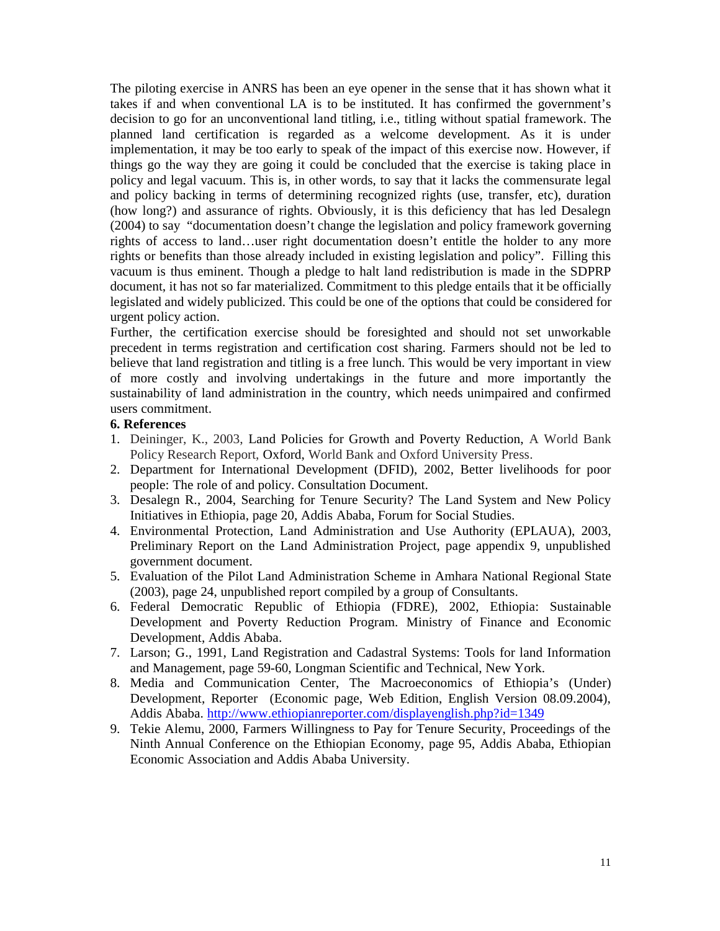The piloting exercise in ANRS has been an eye opener in the sense that it has shown what it takes if and when conventional LA is to be instituted. It has confirmed the government's decision to go for an unconventional land titling, i.e., titling without spatial framework. The planned land certification is regarded as a welcome development. As it is under implementation, it may be too early to speak of the impact of this exercise now. However, if things go the way they are going it could be concluded that the exercise is taking place in policy and legal vacuum. This is, in other words, to say that it lacks the commensurate legal and policy backing in terms of determining recognized rights (use, transfer, etc), duration (how long?) and assurance of rights. Obviously, it is this deficiency that has led Desalegn (2004) to say "documentation doesn't change the legislation and policy framework governing rights of access to land…user right documentation doesn't entitle the holder to any more rights or benefits than those already included in existing legislation and policy". Filling this vacuum is thus eminent. Though a pledge to halt land redistribution is made in the SDPRP document, it has not so far materialized. Commitment to this pledge entails that it be officially legislated and widely publicized. This could be one of the options that could be considered for urgent policy action.

Further, the certification exercise should be foresighted and should not set unworkable precedent in terms registration and certification cost sharing. Farmers should not be led to believe that land registration and titling is a free lunch. This would be very important in view of more costly and involving undertakings in the future and more importantly the sustainability of land administration in the country, which needs unimpaired and confirmed users commitment.

## **6. References**

- 1. Deininger, K., 2003, Land Policies for Growth and Poverty Reduction, A World Bank Policy Research Report, Oxford, World Bank and Oxford University Press.
- 2. Department for International Development (DFID), 2002, Better livelihoods for poor people: The role of and policy. Consultation Document.
- 3. Desalegn R., 2004, Searching for Tenure Security? The Land System and New Policy Initiatives in Ethiopia, page 20, Addis Ababa, Forum for Social Studies.
- 4. Environmental Protection, Land Administration and Use Authority (EPLAUA), 2003, Preliminary Report on the Land Administration Project, page appendix 9, unpublished government document.
- 5. Evaluation of the Pilot Land Administration Scheme in Amhara National Regional State (2003), page 24, unpublished report compiled by a group of Consultants.
- 6. Federal Democratic Republic of Ethiopia (FDRE), 2002, Ethiopia: Sustainable Development and Poverty Reduction Program. Ministry of Finance and Economic Development, Addis Ababa.
- 7. Larson; G., 1991, Land Registration and Cadastral Systems: Tools for land Information and Management, page 59-60, Longman Scientific and Technical, New York.
- 8. Media and Communication Center, The Macroeconomics of Ethiopia's (Under) Development, Reporter (Economic page, Web Edition, English Version 08.09.2004), Addis Ababa.<http://www.ethiopianreporter.com/displayenglish.php?id=1349>
- 9. Tekie Alemu, 2000, Farmers Willingness to Pay for Tenure Security, Proceedings of the Ninth Annual Conference on the Ethiopian Economy, page 95, Addis Ababa, Ethiopian Economic Association and Addis Ababa University.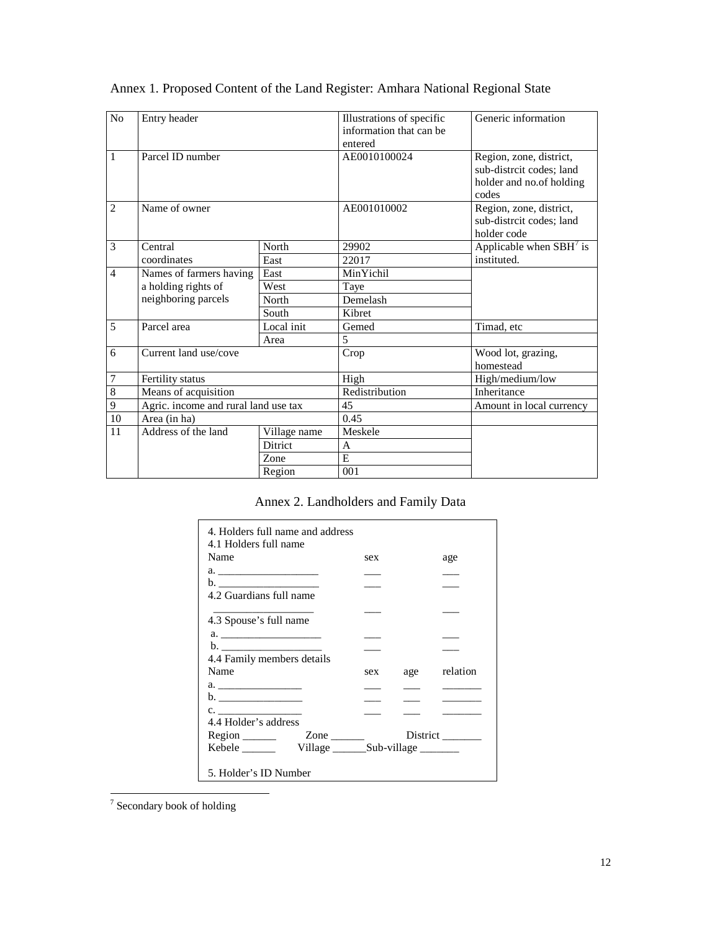| N <sub>o</sub> | Entry header                         |                | Illustrations of specific<br>information that can be | Generic information                                                                      |  |  |  |
|----------------|--------------------------------------|----------------|------------------------------------------------------|------------------------------------------------------------------------------------------|--|--|--|
|                |                                      |                | entered                                              |                                                                                          |  |  |  |
| 1              | Parcel ID number                     |                | AE0010100024                                         | Region, zone, district,<br>sub-distrcit codes; land<br>holder and no.of holding<br>codes |  |  |  |
| $\overline{2}$ | Name of owner                        |                | AE001010002                                          | Region, zone, district,<br>sub-distrcit codes; land<br>holder code                       |  |  |  |
| 3              | Central                              | North          | 29902                                                | Applicable when $SBH^7$ is                                                               |  |  |  |
|                | coordinates                          | East           | 22017                                                | instituted.                                                                              |  |  |  |
| $\overline{4}$ | Names of farmers having              | East           | MinYichil                                            |                                                                                          |  |  |  |
|                | a holding rights of                  | West           | Taye                                                 |                                                                                          |  |  |  |
|                | neighboring parcels                  | North          | Demelash                                             |                                                                                          |  |  |  |
|                |                                      | South          | Kibret                                               |                                                                                          |  |  |  |
| 5              | Parcel area                          | Local init     | Gemed                                                | Timad, etc                                                                               |  |  |  |
|                |                                      | Area           | 5                                                    |                                                                                          |  |  |  |
| 6              | Current land use/cove                |                | Crop                                                 | Wood lot, grazing,                                                                       |  |  |  |
|                |                                      |                |                                                      | homestead                                                                                |  |  |  |
| 7              | Fertility status                     |                | High                                                 | High/medium/low                                                                          |  |  |  |
| $\overline{8}$ | Means of acquisition                 |                | Redistribution                                       | Inheritance                                                                              |  |  |  |
| $\overline{9}$ | Agric. income and rural land use tax |                | 45                                                   | Amount in local currency                                                                 |  |  |  |
| $10\,$         | Area (in ha)                         |                | 0.45                                                 |                                                                                          |  |  |  |
| 11             | Address of the land                  | Village name   | Meskele                                              |                                                                                          |  |  |  |
|                |                                      | <b>Ditrict</b> | A                                                    |                                                                                          |  |  |  |
|                |                                      | Zone           | E                                                    |                                                                                          |  |  |  |
|                |                                      | Region         | 001                                                  |                                                                                          |  |  |  |

# Annex 1. Proposed Content of the Land Register: Amhara National Regional State

|  |  | Annex 2. Landholders and Family Data |
|--|--|--------------------------------------|
|--|--|--------------------------------------|

| 4. Holders full name and address<br>4.1 Holders full name |     |     |          |
|-----------------------------------------------------------|-----|-----|----------|
| Name                                                      | sex |     | age      |
|                                                           |     |     |          |
|                                                           |     |     |          |
| 4.2 Guardians full name                                   |     |     |          |
| 4.3 Spouse's full name                                    |     |     |          |
|                                                           |     |     |          |
|                                                           |     |     |          |
| 4.4 Family members details                                |     |     |          |
| Name                                                      | sex | age | relation |
|                                                           |     |     |          |
| $\mathbf{b}$ .                                            |     |     |          |
| $\mathbf{C}$ .                                            |     |     |          |
| 4.4 Holder's address                                      |     |     |          |
| $Region \t 2one \t 2one$                                  |     |     |          |
| Village Sub-village                                       |     |     |          |
| 5. Holder's ID Number                                     |     |     |          |

7 Secondary book of holding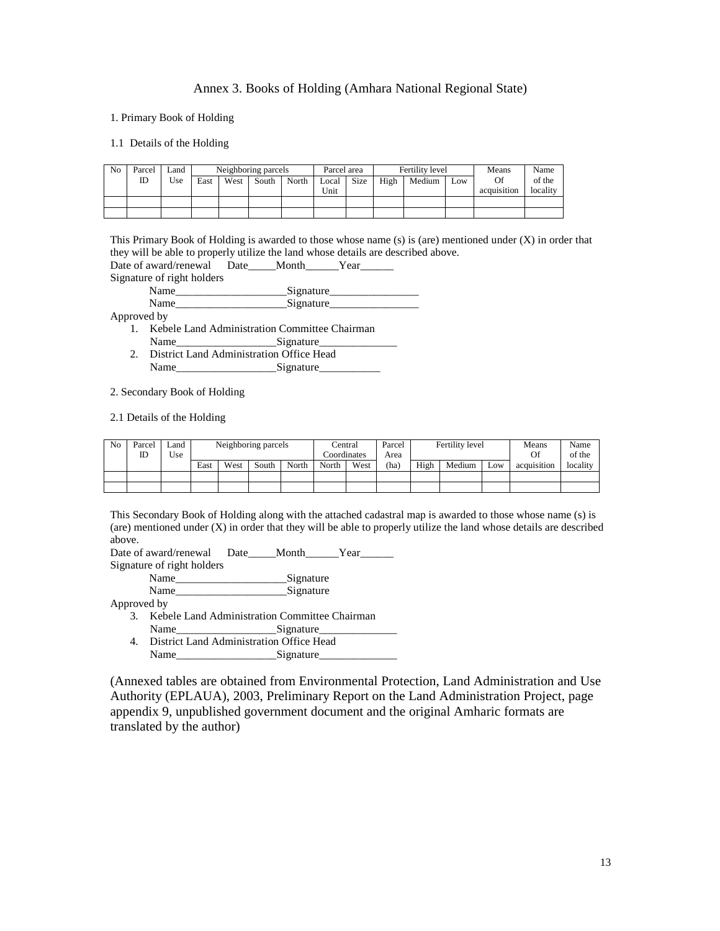## Annex 3. Books of Holding (Amhara National Regional State)

1. Primary Book of Holding

1.1 Details of the Holding

| No | Parcel | ∟and | Neighboring parcels |      |       |       | Parcel area |      |      | Fertility level |     | Means       | Name     |
|----|--------|------|---------------------|------|-------|-------|-------------|------|------|-----------------|-----|-------------|----------|
|    | ID     | Use  | East                | West | South | North | Local       | Size | High | Medium          | Low | Of          | of the   |
|    |        |      |                     |      |       |       | Unit        |      |      |                 |     | acquisition | locality |
|    |        |      |                     |      |       |       |             |      |      |                 |     |             |          |
|    |        |      |                     |      |       |       |             |      |      |                 |     |             |          |

This Primary Book of Holding is awarded to those whose name (s) is (are) mentioned under (X) in order that they will be able to properly utilize the land whose details are described above.

Date of award/renewal Date\_\_\_\_Month\_\_\_\_\_Year\_\_\_\_\_

Signature of right holders

| Name | Signature |
|------|-----------|
| Name | Signature |

Approved by

- 1. Kebele Land Administration Committee Chairman Name\_\_\_\_\_\_\_\_\_\_\_\_\_\_\_\_\_\_Signature\_\_\_\_\_\_\_\_\_\_\_\_\_\_
- 2. District Land Administration Office Head Name\_\_\_\_\_\_\_\_\_\_\_\_\_\_\_\_\_\_Signature\_\_\_\_\_\_\_\_\_\_\_

2. Secondary Book of Holding

2.1 Details of the Holding

| No | Parcel<br>ID | ∟and<br>Use | Neighboring parcels |      |       | Central<br>Coordinates |       | Parcel<br>Area | Fertility level |      |        | Means<br>Of | Name<br>of the |          |
|----|--------------|-------------|---------------------|------|-------|------------------------|-------|----------------|-----------------|------|--------|-------------|----------------|----------|
|    |              |             | East                | West | South | North                  | North | West           | (ha)            | High | Medium | Low         | acquisition    | locality |
|    |              |             |                     |      |       |                        |       |                |                 |      |        |             |                |          |
|    |              |             |                     |      |       |                        |       |                |                 |      |        |             |                |          |

This Secondary Book of Holding along with the attached cadastral map is awarded to those whose name (s) is (are) mentioned under  $(X)$  in order that they will be able to properly utilize the land whose details are described above.

Date of award/renewal Date Month Year Signature of right holders

Name Signature

Name\_\_\_\_\_\_\_\_\_\_\_\_\_\_\_\_\_\_\_\_\_\_\_\_\_\_\_\_\_\_\_Signature

Approved by

- 3. Kebele Land Administration Committee Chairman Name Signature
- 4. District Land Administration Office Head Name Signature

(Annexed tables are obtained from Environmental Protection, Land Administration and Use Authority (EPLAUA), 2003, Preliminary Report on the Land Administration Project, page appendix 9, unpublished government document and the original Amharic formats are translated by the author)